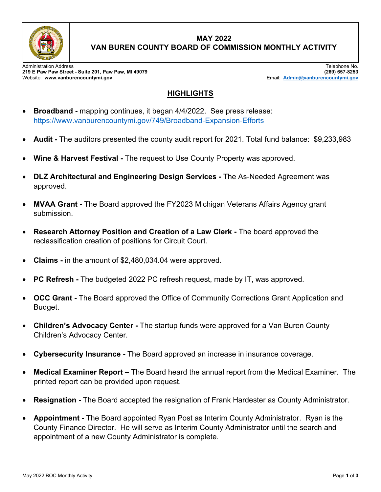

## **MAY 2022 VAN BUREN COUNTY BOARD OF COMMISSION MONTHLY ACTIVITY**

Administration Address Telephone No. **219 E Paw Paw Street - Suite 201, Paw Paw, MI 49079 (269) 657-8253** Website: **www.vanburencountymi.gov** Email: **[Admin@vanburencountymi.gov](mailto:Admin@vanburencountymi.gov)**

## **HIGHLIGHTS**

- **Broadband -** mapping continues, it began 4/4/2022. See press release: <https://www.vanburencountymi.gov/749/Broadband-Expansion-Efforts>
- **Audit** The auditors presented the county audit report for 2021. Total fund balance: \$9,233,983
- **Wine & Harvest Festival** The request to Use County Property was approved.
- **DLZ Architectural and Engineering Design Services** The As-Needed Agreement was approved.
- **MVAA Grant** The Board approved the FY2023 Michigan Veterans Affairs Agency grant submission.
- **Research Attorney Position and Creation of a Law Clerk** The board approved the reclassification creation of positions for Circuit Court.
- **Claims** in the amount of \$2,480,034.04 were approved.
- **PC Refresh** The budgeted 2022 PC refresh request, made by IT, was approved.
- **OCC Grant** The Board approved the Office of Community Corrections Grant Application and Budget.
- **Children's Advocacy Center** The startup funds were approved for a Van Buren County Children's Advocacy Center.
- **Cybersecurity Insurance** The Board approved an increase in insurance coverage.
- **Medical Examiner Report** The Board heard the annual report from the Medical Examiner. The printed report can be provided upon request.
- **Resignation** The Board accepted the resignation of Frank Hardester as County Administrator.
- **Appointment** The Board appointed Ryan Post as Interim County Administrator. Ryan is the County Finance Director. He will serve as Interim County Administrator until the search and appointment of a new County Administrator is complete.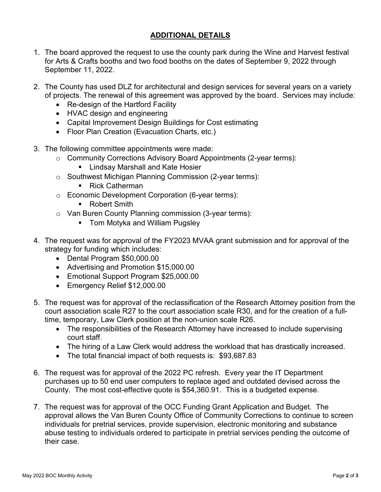## **ADDITIONAL DETAILS**

- 1. The board approved the request to use the county park during the Wine and Harvest festival for Arts & Crafts booths and two food booths on the dates of September 9, 2022 through September 11, 2022.
- 2. The County has used DLZ for architectural and design services for several years on a variety of projects. The renewal of this agreement was approved by the board. Services may include:
	- Re-design of the Hartford Facility
	- HVAC design and engineering
	- Capital Improvement Design Buildings for Cost estimating
	- Floor Plan Creation (Evacuation Charts, etc.)
- 3. The following committee appointments were made:
	- o Community Corrections Advisory Board Appointments (2-year terms):
		- **E.** Lindsay Marshall and Kate Hosier
	- o Southwest Michigan Planning Commission (2-year terms):
		- Rick Catherman
	- o Economic Development Corporation (6-year terms):
		- Robert Smith
	- o Van Buren County Planning commission (3-year terms):
		- **Tom Motyka and William Pugsley**
- 4. The request was for approval of the FY2023 MVAA grant submission and for approval of the strategy for funding which includes:
	- Dental Program \$50,000.00
	- Advertising and Promotion \$15,000.00
	- Emotional Support Program \$25,000.00
	- Emergency Relief \$12,000.00
- 5. The request was for approval of the reclassification of the Research Attorney position from the court association scale R27 to the court association scale R30, and for the creation of a fulltime, temporary, Law Clerk position at the non-union scale R26.
	- The responsibilities of the Research Attorney have increased to include supervising court staff.
	- The hiring of a Law Clerk would address the workload that has drastically increased.
	- The total financial impact of both requests is: \$93,687.83
- 6. The request was for approval of the 2022 PC refresh. Every year the IT Department purchases up to 50 end user computers to replace aged and outdated devised across the County. The most cost-effective quote is \$54,360.91. This is a budgeted expense.
- 7. The request was for approval of the OCC Funding Grant Application and Budget. The approval allows the Van Buren County Office of Community Corrections to continue to screen individuals for pretrial services, provide supervision, electronic monitoring and substance abuse testing to individuals ordered to participate in pretrial services pending the outcome of their case.